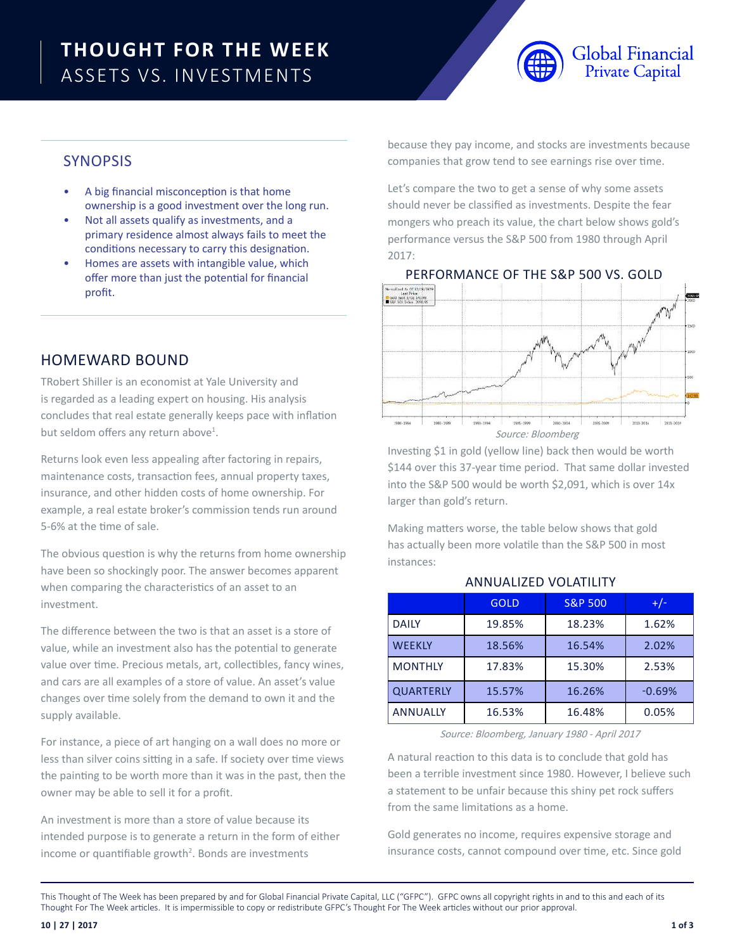# **THOUGHT FOR THE WEEK** ASSETS VS. INVESTMENTS



# **SYNOPSIS**

- A big financial misconception is that home ownership is a good investment over the long run.
- Not all assets qualify as investments, and a primary residence almost always fails to meet the conditions necessary to carry this designation.
- Homes are assets with intangible value, which offer more than just the potential for financial profit.

## HOMEWARD BOUND

TRobert Shiller is an economist at Yale University and is regarded as a leading expert on housing. His analysis concludes that real estate generally keeps pace with inflation but seldom offers any return above<sup>1</sup>.

Returns look even less appealing after factoring in repairs, maintenance costs, transaction fees, annual property taxes, insurance, and other hidden costs of home ownership. For example, a real estate broker's commission tends run around 5-6% at the time of sale.

The obvious question is why the returns from home ownership have been so shockingly poor. The answer becomes apparent when comparing the characteristics of an asset to an investment.

The difference between the two is that an asset is a store of value, while an investment also has the potential to generate value over time. Precious metals, art, collectibles, fancy wines, and cars are all examples of a store of value. An asset's value changes over time solely from the demand to own it and the supply available.

For instance, a piece of art hanging on a wall does no more or less than silver coins sitting in a safe. If society over time views the painting to be worth more than it was in the past, then the owner may be able to sell it for a profit.

An investment is more than a store of value because its intended purpose is to generate a return in the form of either income or quantifiable growth<sup>2</sup>. Bonds are investments

because they pay income, and stocks are investments because companies that grow tend to see earnings rise over time.

Let's compare the two to get a sense of why some assets should never be classified as investments. Despite the fear mongers who preach its value, the chart below shows gold's performance versus the S&P 500 from 1980 through April 2017:



Investing \$1 in gold (yellow line) back then would be worth \$144 over this 37-year time period. That same dollar invested into the S&P 500 would be worth \$2,091, which is over 14x larger than gold's return.

Making matters worse, the table below shows that gold has actually been more volatile than the S&P 500 in most instances:

|                  | <b>GOLD</b> | <b>S&amp;P 500</b> | $+/-$    |
|------------------|-------------|--------------------|----------|
| <b>DAILY</b>     | 19.85%      | 18.23%             | 1.62%    |
| <b>WEEKLY</b>    | 18.56%      | 16.54%             | 2.02%    |
| <b>MONTHLY</b>   | 17.83%      | 15.30%             | 2.53%    |
| <b>QUARTERLY</b> | 15.57%      | 16.26%             | $-0.69%$ |
| <b>ANNUALLY</b>  | 16.53%      | 16.48%             | 0.05%    |

### ANNUALIZED VOLATILITY

Source: Bloomberg, January 1980 - April 2017

A natural reaction to this data is to conclude that gold has been a terrible investment since 1980. However, I believe such a statement to be unfair because this shiny pet rock suffers from the same limitations as a home.

Gold generates no income, requires expensive storage and insurance costs, cannot compound over time, etc. Since gold

This Thought of The Week has been prepared by and for Global Financial Private Capital, LLC ("GFPC"). GFPC owns all copyright rights in and to this and each of its Thought For The Week articles. It is impermissible to copy or redistribute GFPC's Thought For The Week articles without our prior approval.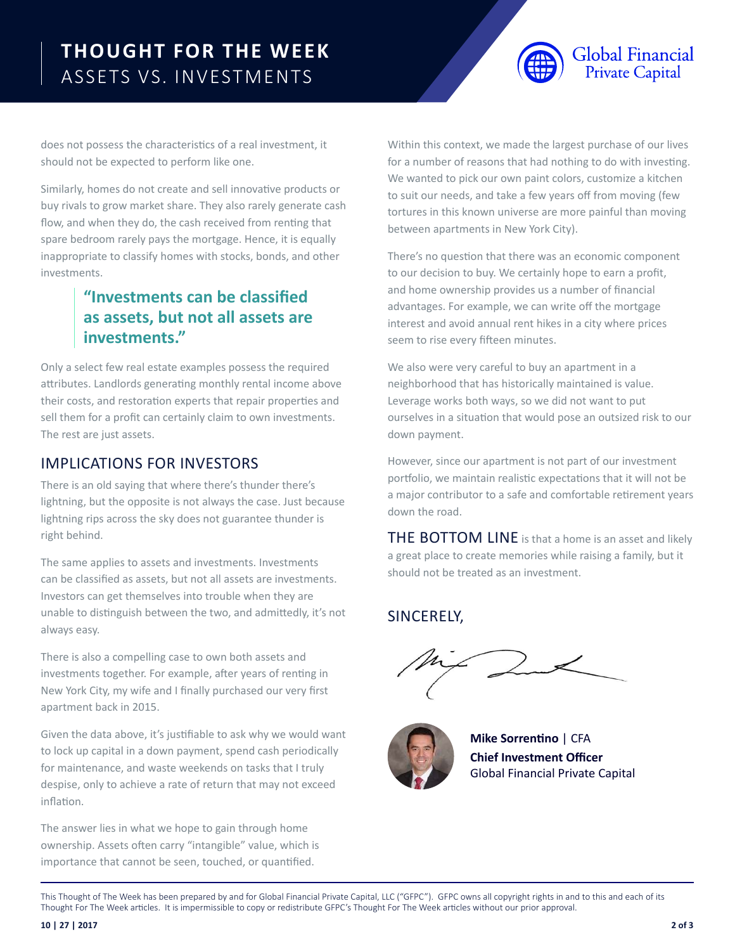# **THOUGHT FOR THE WEEK** ASSETS VS. INVESTMENTS



does not possess the characteristics of a real investment, it should not be expected to perform like one.

Similarly, homes do not create and sell innovative products or buy rivals to grow market share. They also rarely generate cash flow, and when they do, the cash received from renting that spare bedroom rarely pays the mortgage. Hence, it is equally inappropriate to classify homes with stocks, bonds, and other investments.

# **"Investments can be classified as assets, but not all assets are investments."**

Only a select few real estate examples possess the required attributes. Landlords generating monthly rental income above their costs, and restoration experts that repair properties and sell them for a profit can certainly claim to own investments. The rest are just assets.

## IMPLICATIONS FOR INVESTORS

There is an old saying that where there's thunder there's lightning, but the opposite is not always the case. Just because lightning rips across the sky does not guarantee thunder is right behind.

The same applies to assets and investments. Investments can be classified as assets, but not all assets are investments. Investors can get themselves into trouble when they are unable to distinguish between the two, and admittedly, it's not always easy.

There is also a compelling case to own both assets and investments together. For example, after years of renting in New York City, my wife and I finally purchased our very first apartment back in 2015.

Given the data above, it's justifiable to ask why we would want to lock up capital in a down payment, spend cash periodically for maintenance, and waste weekends on tasks that I truly despise, only to achieve a rate of return that may not exceed inflation.

The answer lies in what we hope to gain through home ownership. Assets often carry "intangible" value, which is importance that cannot be seen, touched, or quantified.

Within this context, we made the largest purchase of our lives for a number of reasons that had nothing to do with investing. We wanted to pick our own paint colors, customize a kitchen to suit our needs, and take a few years off from moving (few tortures in this known universe are more painful than moving between apartments in New York City).

There's no question that there was an economic component to our decision to buy. We certainly hope to earn a profit, and home ownership provides us a number of financial advantages. For example, we can write off the mortgage interest and avoid annual rent hikes in a city where prices seem to rise every fifteen minutes.

We also were very careful to buy an apartment in a neighborhood that has historically maintained is value. Leverage works both ways, so we did not want to put ourselves in a situation that would pose an outsized risk to our down payment.

However, since our apartment is not part of our investment portfolio, we maintain realistic expectations that it will not be a major contributor to a safe and comfortable retirement years down the road.

THE BOTTOM LINE is that a home is an asset and likely a great place to create memories while raising a family, but it should not be treated as an investment.

## SINCERELY,



**Mike Sorrentino** | CFA **Chief Investment Officer** Global Financial Private Capital

This Thought of The Week has been prepared by and for Global Financial Private Capital, LLC ("GFPC"). GFPC owns all copyright rights in and to this and each of its Thought For The Week articles. It is impermissible to copy or redistribute GFPC's Thought For The Week articles without our prior approval.